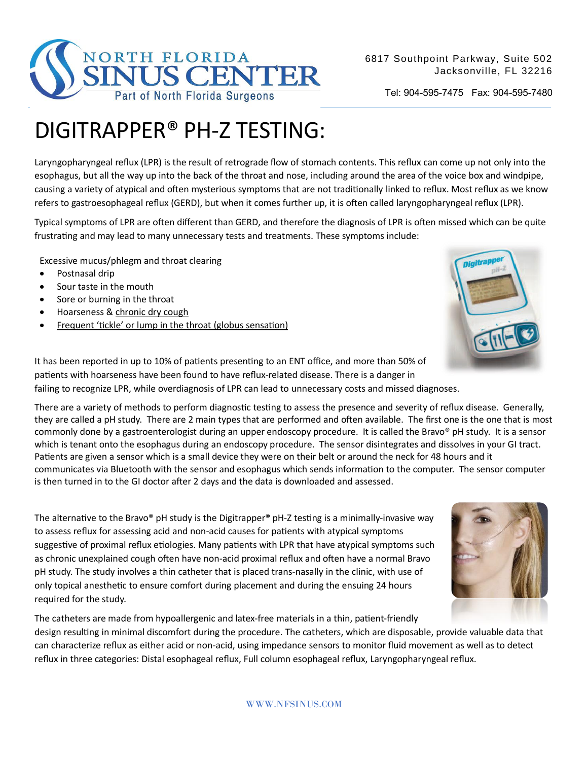

Tel: 904-595-7475 Fax: 904-595-7480

## DIGITRAPPER® PH-Z TESTING:

Laryngopharyngeal reflux (LPR) is the result of retrograde flow of stomach contents. This reflux can come up not only into the esophagus, but all the way up into the back of the throat and nose, including around the area of the voice box and windpipe, causing a variety of atypical and often mysterious symptoms that are not traditionally linked to reflux. Most reflux as we know refers to gastroesophageal reflux (GERD), but when it comes further up, it is often called laryngopharyngeal reflux (LPR).

Typical symptoms of LPR are often different than GERD, and therefore the diagnosis of LPR is often missed which can be quite frustrating and may lead to many unnecessary tests and treatments. These symptoms include:

Excessive mucus/phlegm and throat clearing

- Postnasal drip
- Sour taste in the mouth
- Sore or burning in the throat
- Hoarseness & chronic dry cough
- Frequent 'tickle' or lump in the throat (globus sensation)



It has been reported in up to 10% of patients presenting to an ENT office, and more than 50% of patients with hoarseness have been found to have reflux-related disease. There is a danger in failing to recognize LPR, while overdiagnosis of LPR can lead to unnecessary costs and missed diagnoses.

There are a variety of methods to perform diagnostic testing to assess the presence and severity of reflux disease. Generally, they are called a pH study. There are 2 main types that are performed and often available. The first one is the one that is most commonly done by a gastroenterologist during an upper endoscopy procedure. It is called the Bravo® pH study. It is a sensor which is tenant onto the esophagus during an endoscopy procedure. The sensor disintegrates and dissolves in your GI tract. Patients are given a sensor which is a small device they were on their belt or around the neck for 48 hours and it communicates via Bluetooth with the sensor and esophagus which sends information to the computer. The sensor computer is then turned in to the GI doctor after 2 days and the data is downloaded and assessed.

The alternative to the Bravo® pH study is the Digitrapper® pH-Z testing is a minimally-invasive way to assess reflux for assessing acid and non-acid causes for patients with atypical symptoms suggestive of proximal reflux etiologies. Many patients with LPR that have atypical symptoms such as chronic unexplained cough often have non-acid proximal reflux and often have a normal Bravo pH study. The study involves a thin catheter that is placed trans-nasally in the clinic, with use of only topical anesthetic to ensure comfort during placement and during the ensuing 24 hours required for the study.